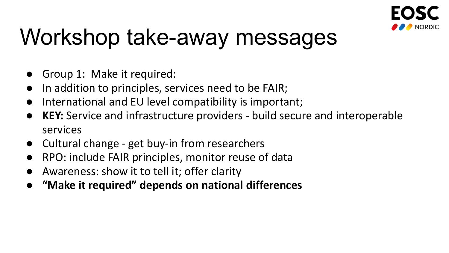

- Group 1: Make it required:
- In addition to principles, services need to be FAIR;
- International and EU level compatibility is important;
- **KEY:** Service and infrastructure providers build secure and interoperable services
- Cultural change get buy-in from researchers
- RPO: include FAIR principles, monitor reuse of data
- Awareness: show it to tell it; offer clarity
- **"Make it required" depends on national differences**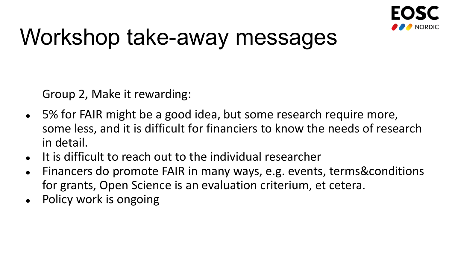

Group 2, Make it rewarding:

- 5% for FAIR might be a good idea, but some research require more, some less, and it is difficult for financiers to know the needs of research in detail.
- It is difficult to reach out to the individual researcher
- Financers do promote FAIR in many ways, e.g. events, terms&conditions for grants, Open Science is an evaluation criterium, et cetera.
- Policy work is ongoing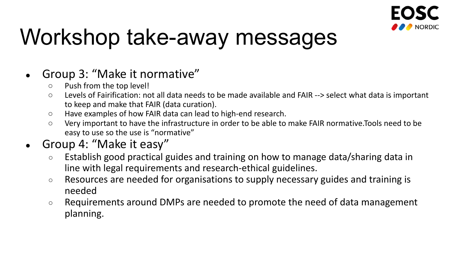

#### • Group 3: "Make it normative"

- Push from the top level!
- Levels of Fairification: not all data needs to be made available and FAIR --> select what data is important to keep and make that FAIR (data curation).
- Have examples of how FAIR data can lead to high-end research.
- Very important to have the infrastructure in order to be able to make FAIR normative.Tools need to be easy to use so the use is "normative"
- Group 4: "Make it easy"
	- Establish good practical guides and training on how to manage data/sharing data in line with legal requirements and research-ethical guidelines.
	- Resources are needed for organisations to supply necessary guides and training is needed
	- Requirements around DMPs are needed to promote the need of data management planning.